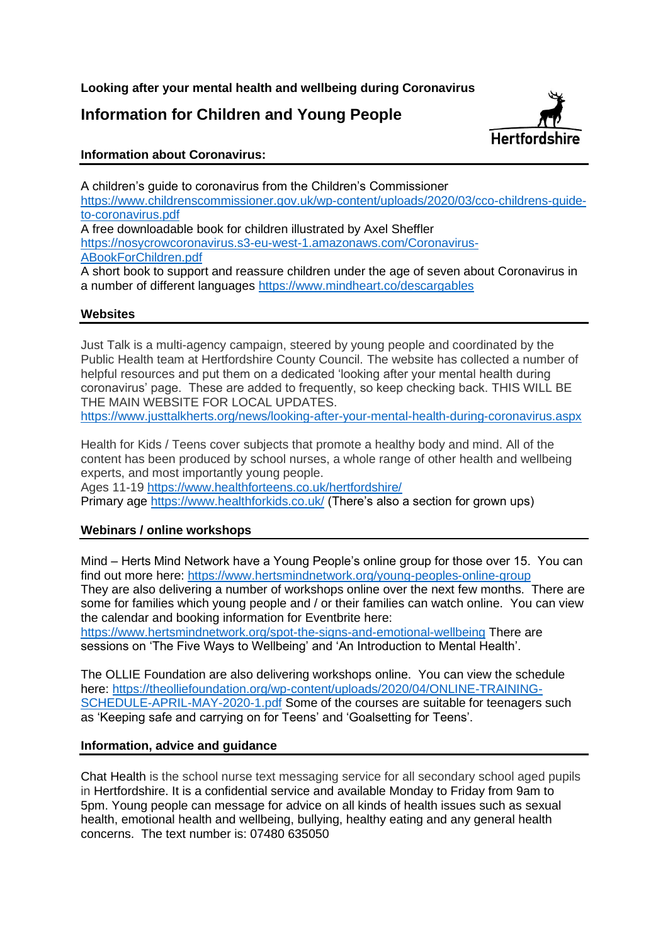**Looking after your mental health and wellbeing during Coronavirus**

# **Information for Children and Young People**



## **Information about Coronavirus:**

A children's guide to coronavirus from the Children's Commissioner https://www.childrenscommissioner.gov.uk/wp-content/uploads/2020/03/cco-childrens-guideto-coronavirus.pdf A free downloadable book for children illustrated by Axel Sheffler https://nosycrowcoronavirus.s3-eu-west-1.amazonaws.com/Coronavirus-ABookForChildren.pdf A short book to support and reassure children under the age of seven about Coronavirus in a number of different languages https://www.mindheart.co/descargables

## **Websites**

Just Talk is a multi-agency campaign, steered by young people and coordinated by the Public Health team at Hertfordshire County Council. The website has collected a number of helpful resources and put them on a dedicated 'looking after your mental health during coronavirus' page. These are added to frequently, so keep checking back. THIS WILL BE THE MAIN WEBSITE FOR LOCAL UPDATES. https://www.justtalkherts.org/news/looking-after-your-mental-health-during-coronavirus.aspx

Health for Kids / Teens cover subjects that promote a healthy body and mind. All of the content has been produced by school nurses, a whole range of other health and wellbeing experts, and most importantly young people.

Ages 11-19 https://www.healthforteens.co.uk/hertfordshire/

Primary age https://www.healthforkids.co.uk/ (There's also a section for grown ups)

## **Webinars / online workshops**

Mind – Herts Mind Network have a Young People's online group for those over 15. You can find out more here: https://www.hertsmindnetwork.org/young-peoples-online-group They are also delivering a number of workshops online over the next few months. There are some for families which young people and / or their families can watch online. You can view the calendar and booking information for Eventbrite here: https://www.hertsmindnetwork.org/spot-the-signs-and-emotional-wellbeing There are

sessions on 'The Five Ways to Wellbeing' and 'An Introduction to Mental Health'.

The OLLIE Foundation are also delivering workshops online. You can view the schedule here: https://theolliefoundation.org/wp-content/uploads/2020/04/ONLINE-TRAINING-SCHEDULE-APRIL-MAY-2020-1.pdf Some of the courses are suitable for teenagers such as 'Keeping safe and carrying on for Teens' and 'Goalsetting for Teens'.

#### **Information, advice and guidance**

Chat Health is the school nurse text messaging service for all secondary school aged pupils in Hertfordshire. It is a confidential service and available Monday to Friday from 9am to 5pm. Young people can message for advice on all kinds of health issues such as sexual health, emotional health and wellbeing, bullying, healthy eating and any general health concerns. The text number is: 07480 635050